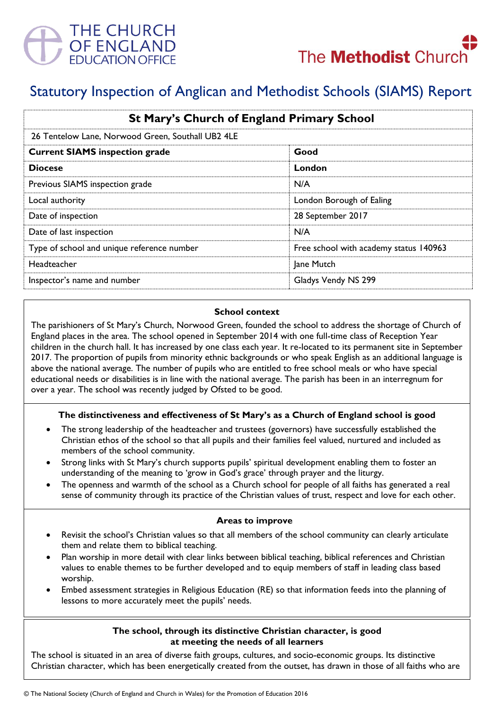

# Statutory Inspection of Anglican and Methodist Schools (SIAMS) Report

| <b>St Mary's Church of England Primary School</b><br>26 Tentelow Lane, Norwood Green, Southall UB2 4LE |                                        |
|--------------------------------------------------------------------------------------------------------|----------------------------------------|
|                                                                                                        |                                        |
| <b>Diocese</b>                                                                                         | London                                 |
| Previous SIAMS inspection grade                                                                        | N/A                                    |
| Local authority                                                                                        | London Borough of Ealing               |
| Date of inspection                                                                                     | 28 September 2017                      |
| Date of last inspection                                                                                | N/A                                    |
| Type of school and unique reference number                                                             | Free school with academy status 140963 |
| <b>Headteacher</b>                                                                                     | Jane Mutch                             |
| Inspector's name and number                                                                            | Gladys Vendy NS 299                    |

#### **School context**

The parishioners of St Mary's Church, Norwood Green, founded the school to address the shortage of Church of England places in the area. The school opened in September 2014 with one full-time class of Reception Year children in the church hall. It has increased by one class each year. It re-located to its permanent site in September 2017. The proportion of pupils from minority ethnic backgrounds or who speak English as an additional language is above the national average. The number of pupils who are entitled to free school meals or who have special educational needs or disabilities is in line with the national average. The parish has been in an interregnum for over a year. The school was recently judged by Ofsted to be good.

# **The distinctiveness and effectiveness of St Mary's as a Church of England school is good**

- The strong leadership of the headteacher and trustees (governors) have successfully established the Christian ethos of the school so that all pupils and their families feel valued, nurtured and included as members of the school community.
- Strong links with St Mary's church supports pupils' spiritual development enabling them to foster an understanding of the meaning to 'grow in God's grace' through prayer and the liturgy.
- The openness and warmth of the school as a Church school for people of all faiths has generated a real sense of community through its practice of the Christian values of trust, respect and love for each other.

# **Areas to improve**

- Revisit the school's Christian values so that all members of the school community can clearly articulate them and relate them to biblical teaching.
- Plan worship in more detail with clear links between biblical teaching, biblical references and Christian values to enable themes to be further developed and to equip members of staff in leading class based worship.
- Embed assessment strategies in Religious Education (RE) so that information feeds into the planning of lessons to more accurately meet the pupils' needs.

#### **The school, through its distinctive Christian character, is good at meeting the needs of all learners**

The school is situated in an area of diverse faith groups, cultures, and socio-economic groups. Its distinctive Christian character, which has been energetically created from the outset, has drawn in those of all faiths who are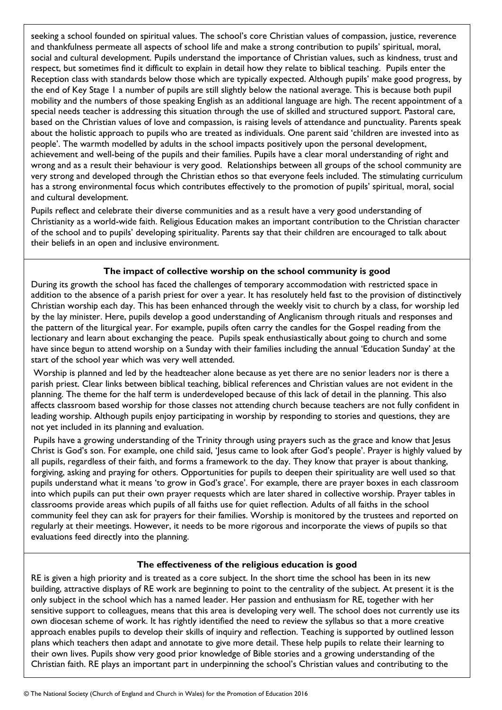seeking a school founded on spiritual values. The school's core Christian values of compassion, justice, reverence and thankfulness permeate all aspects of school life and make a strong contribution to pupils' spiritual, moral, social and cultural development. Pupils understand the importance of Christian values, such as kindness, trust and respect, but sometimes find it difficult to explain in detail how they relate to biblical teaching. Pupils enter the Reception class with standards below those which are typically expected. Although pupils' make good progress, by the end of Key Stage 1 a number of pupils are still slightly below the national average. This is because both pupil mobility and the numbers of those speaking English as an additional language are high. The recent appointment of a special needs teacher is addressing this situation through the use of skilled and structured support. Pastoral care, based on the Christian values of love and compassion, is raising levels of attendance and punctuality. Parents speak about the holistic approach to pupils who are treated as individuals. One parent said 'children are invested into as people'. The warmth modelled by adults in the school impacts positively upon the personal development, achievement and well-being of the pupils and their families. Pupils have a clear moral understanding of right and wrong and as a result their behaviour is very good. Relationships between all groups of the school community are very strong and developed through the Christian ethos so that everyone feels included. The stimulating curriculum has a strong environmental focus which contributes effectively to the promotion of pupils' spiritual, moral, social and cultural development.

Pupils reflect and celebrate their diverse communities and as a result have a very good understanding of Christianity as a world-wide faith. Religious Education makes an important contribution to the Christian character of the school and to pupils' developing spirituality. Parents say that their children are encouraged to talk about their beliefs in an open and inclusive environment.

# **The impact of collective worship on the school community is good**

During its growth the school has faced the challenges of temporary accommodation with restricted space in addition to the absence of a parish priest for over a year. It has resolutely held fast to the provision of distinctively Christian worship each day. This has been enhanced through the weekly visit to church by a class, for worship led by the lay minister. Here, pupils develop a good understanding of Anglicanism through rituals and responses and the pattern of the liturgical year. For example, pupils often carry the candles for the Gospel reading from the lectionary and learn about exchanging the peace. Pupils speak enthusiastically about going to church and some have since begun to attend worship on a Sunday with their families including the annual 'Education Sunday' at the start of the school year which was very well attended.

Worship is planned and led by the headteacher alone because as yet there are no senior leaders nor is there a parish priest. Clear links between biblical teaching, biblical references and Christian values are not evident in the planning. The theme for the half term is underdeveloped because of this lack of detail in the planning. This also affects classroom based worship for those classes not attending church because teachers are not fully confident in leading worship. Although pupils enjoy participating in worship by responding to stories and questions, they are not yet included in its planning and evaluation.

Pupils have a growing understanding of the Trinity through using prayers such as the grace and know that Jesus Christ is God's son. For example, one child said, 'Jesus came to look after God's people'. Prayer is highly valued by all pupils, regardless of their faith, and forms a framework to the day. They know that prayer is about thanking, forgiving, asking and praying for others. Opportunities for pupils to deepen their spirituality are well used so that pupils understand what it means 'to grow in God's grace'. For example, there are prayer boxes in each classroom into which pupils can put their own prayer requests which are later shared in collective worship. Prayer tables in classrooms provide areas which pupils of all faiths use for quiet reflection*.* Adults of all faiths in the school community feel they can ask for prayers for their families. Worship is monitored by the trustees and reported on regularly at their meetings. However, it needs to be more rigorous and incorporate the views of pupils so that evaluations feed directly into the planning.

# **The effectiveness of the religious education is good**

RE is given a high priority and is treated as a core subject. In the short time the school has been in its new building, attractive displays of RE work are beginning to point to the centrality of the subject. At present it is the only subject in the school which has a named leader. Her passion and enthusiasm for RE, together with her sensitive support to colleagues, means that this area is developing very well. The school does not currently use its own diocesan scheme of work. It has rightly identified the need to review the syllabus so that a more creative approach enables pupils to develop their skills of inquiry and reflection. Teaching is supported by outlined lesson plans which teachers then adapt and annotate to give more detail. These help pupils to relate their learning to their own lives. Pupils show very good prior knowledge of Bible stories and a growing understanding of the Christian faith. RE plays an important part in underpinning the school's Christian values and contributing to the